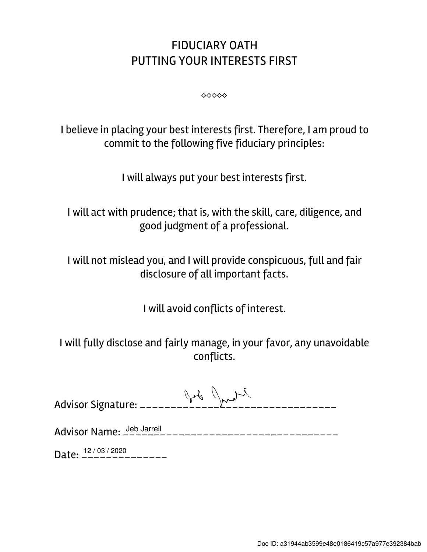## FIDUCIARY OATH PUTTING YOUR INTERESTS FIRST

⬥⬥⬥⬥⬥

I believe in placing your best interests first. Therefore, I am proud to commit to the following five fiduciary principles:

I will always put your best interests first.

I will act with prudence; that is, with the skill, care, diligence, and good judgment of a professional.

I will not mislead you, and I will provide conspicuous, full and fair disclosure of all important facts.

I will avoid conflicts of interest.

I will fully disclose and fairly manage, in your favor, any unavoidable conflicts.

Advisor Name: \_\_\_\_\_\_\_\_\_\_\_\_\_\_\_\_\_\_\_\_\_\_\_\_\_\_\_\_\_\_\_\_\_\_\_ Jeb Jarrell

Date:  $\frac{12/03/2020}{---------}$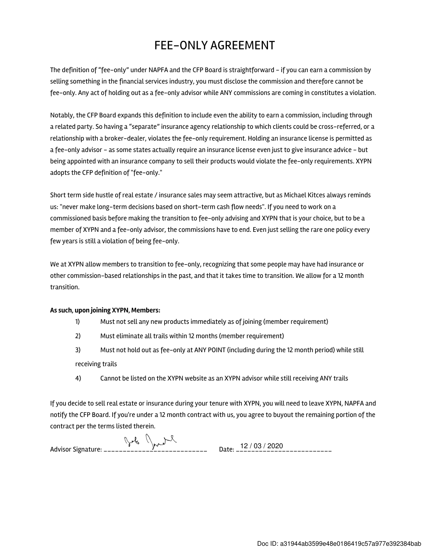## FEE-ONLY AGREEMENT

The definition of "fee-only" under NAPFA and the CFP Board is straightforward - if you can earn a commission by selling something in the financial services industry, you must disclose the commission and therefore cannot be fee-only. Any act of holding out as a fee-only advisor while ANY commissions are coming in constitutes a violation.

Notably, the CFP Board expands this definition to include even the ability to earn a commission, including through a related party. So having a "separate" insurance agency relationship to which clients could be cross-referred, or a relationship with a broker-dealer, violates the fee-only requirement. Holding an insurance license is permitted as a fee-only advisor - as some states actually require an insurance license even just to give insurance advice - but being appointed with an insurance company to sell their products would violate the fee-only requirements. XYPN adopts the CFP definition of "fee-only."

Short term side hustle of real estate / insurance sales may seem attractive, but as Michael Kitces always reminds us: "never make long-term decisions based on short-term cash flow needs". If you need to work on a commissioned basis before making the transition to fee-only advising and XYPN that is your choice, but to be a member of XYPN and a fee-only advisor, the commissions have to end. Even just selling the rare one policy every few years is still a violation of being fee-only.

We at XYPN allow members to transition to fee-only, recognizing that some people may have had insurance or other commission-based relationships in the past, and that it takes time to transition. We allow for a 12 month transition.

## As such, upon joining XYPN, Members:

- 1) Must not sell any new products immediately as of joining (member requirement)
- 2) Must eliminate all trails within 12 months (member requirement)
- 3) Must not hold out as fee-only at ANY POINT (including during the 12 month period) while still receiving trails
- 4) Cannot be listed on the XYPN website as an XYPN advisor while still receiving ANY trails

If you decide to sell real estate or insurance during your tenure with XYPN, you will need to leave XYPN, NAPFA and notify the CFP Board. If you're under a 12 month contract with us, you agree to buyout the remaining portion of the contract per the terms listed therein.

Advisor Signature: \_\_\_\_\_\_\_\_\_\_\_\_\_\_\_\_\_\_\_\_\_\_\_\_\_\_\_ Date: \_\_\_\_\_\_\_\_\_\_\_\_\_\_\_\_\_\_\_\_\_\_\_\_\_ 12 / 03 / 2020